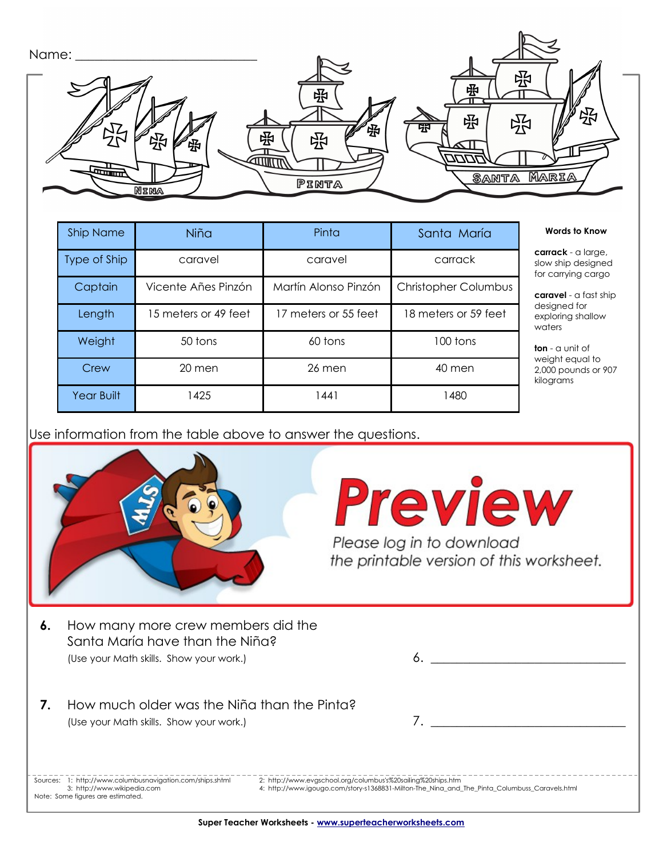| Name:                |             |                    |
|----------------------|-------------|--------------------|
|                      | 卧           | 尕<br>吼             |
| קע<br>囹              | 弼<br>昭<br>卧 | 哚<br>卧<br>55<br>53 |
| $\frac{1}{\sqrt{2}}$ | PINTA       | MARIA<br>SANTA     |
| <b>NINA</b>          |             |                    |

| <b>Ship Name</b> | Niña                 | Pinta                | Santa María                 | <b>Words to Know</b>                                         |
|------------------|----------------------|----------------------|-----------------------------|--------------------------------------------------------------|
| Type of Ship     | caravel              | caravel              | carrack                     | carrack - a large<br>slow ship designe<br>for carrying cargo |
| Captain          | Vicente Añes Pinzón  | Martín Alonso Pinzón | <b>Christopher Columbus</b> | caravel - a fast sh                                          |
| Length           | 15 meters or 49 feet | 17 meters or 55 feet | 18 meters or 59 feet        | designed for<br>exploring shallow<br>waters                  |
| Weight           | 50 tons              | 60 tons              | 100 tons                    | <b>ton</b> - $\alpha$ unit of                                |
| Crew             | 20 men               | 26 men               | 40 men                      | weight equal to<br>2,000 pounds or 9<br>kilograms            |
| Year Built       | <b>425</b>           | 1441                 | 1480                        |                                                              |

Use information from the table above to answer the questions.



**Preview** 

the printable version of this worksheet.

- Santa María have than the Niña? (Use your Math skills. Show your work.)  $\qquad \qquad 6.$
- **7.** How much older was the Niña than the Pinta? (Use your Math skills. Show your work.)

**carrack** - a large, slow ship designed for carrying cargo **caravel** - a fast ship designed for exploring shallow

**ton** - a unit of weight equal to 2,000 pounds or 907

 Sources: 1: http://www.columbusnavigation.com/ships.shtml 2: http://www.evgschool.org/columbus's%20sailing%20ships.htm Note: Some figures are estimated.

3: http://www.wikipedia.com 4: http://www.igougo.com/story-s1368831-Milton-The\_Nina\_and\_The\_Pinta\_Columbuss\_Caravels.html